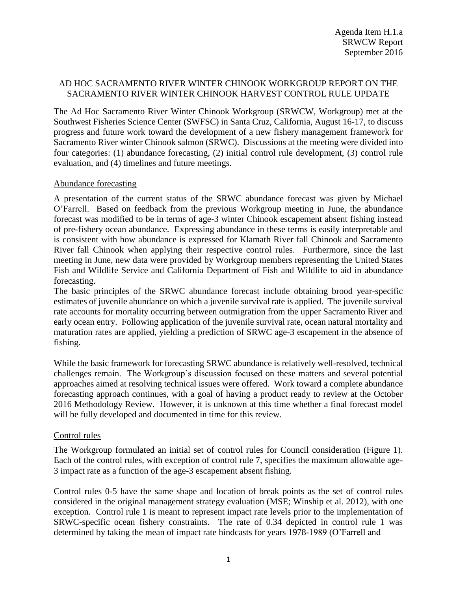# AD HOC SACRAMENTO RIVER WINTER CHINOOK WORKGROUP REPORT ON THE SACRAMENTO RIVER WINTER CHINOOK HARVEST CONTROL RULE UPDATE

The Ad Hoc Sacramento River Winter Chinook Workgroup (SRWCW, Workgroup) met at the Southwest Fisheries Science Center (SWFSC) in Santa Cruz, California, August 16-17, to discuss progress and future work toward the development of a new fishery management framework for Sacramento River winter Chinook salmon (SRWC). Discussions at the meeting were divided into four categories: (1) abundance forecasting, (2) initial control rule development, (3) control rule evaluation, and (4) timelines and future meetings.

# Abundance forecasting

A presentation of the current status of the SRWC abundance forecast was given by Michael O'Farrell. Based on feedback from the previous Workgroup meeting in June, the abundance forecast was modified to be in terms of age-3 winter Chinook escapement absent fishing instead of pre-fishery ocean abundance. Expressing abundance in these terms is easily interpretable and is consistent with how abundance is expressed for Klamath River fall Chinook and Sacramento River fall Chinook when applying their respective control rules. Furthermore, since the last meeting in June, new data were provided by Workgroup members representing the United States Fish and Wildlife Service and California Department of Fish and Wildlife to aid in abundance forecasting.

The basic principles of the SRWC abundance forecast include obtaining brood year-specific estimates of juvenile abundance on which a juvenile survival rate is applied. The juvenile survival rate accounts for mortality occurring between outmigration from the upper Sacramento River and early ocean entry. Following application of the juvenile survival rate, ocean natural mortality and maturation rates are applied, yielding a prediction of SRWC age-3 escapement in the absence of fishing.

While the basic framework for forecasting SRWC abundance is relatively well-resolved, technical challenges remain. The Workgroup's discussion focused on these matters and several potential approaches aimed at resolving technical issues were offered. Work toward a complete abundance forecasting approach continues, with a goal of having a product ready to review at the October 2016 Methodology Review. However, it is unknown at this time whether a final forecast model will be fully developed and documented in time for this review.

# Control rules

The Workgroup formulated an initial set of control rules for Council consideration (Figure 1). Each of the control rules, with exception of control rule 7, specifies the maximum allowable age-3 impact rate as a function of the age-3 escapement absent fishing.

Control rules 0-5 have the same shape and location of break points as the set of control rules considered in the original management strategy evaluation (MSE; Winship et al. 2012), with one exception. Control rule 1 is meant to represent impact rate levels prior to the implementation of SRWC-specific ocean fishery constraints. The rate of 0.34 depicted in control rule 1 was determined by taking the mean of impact rate hindcasts for years 1978-1989 (O'Farrell and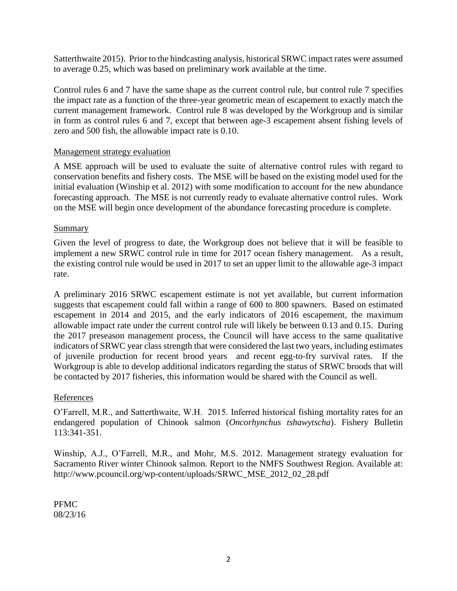Satterthwaite 2015). Prior to the hindcasting analysis, historical SRWC impact rates were assumed to average 0.25, which was based on preliminary work available at the time.

Control rules 6 and 7 have the same shape as the current control rule, but control rule 7 specifies the impact rate as a function of the three-year geometric mean of escapement to exactly match the current management framework. Control rule 8 was developed by the Workgroup and is similar in form as control rules 6 and 7, except that between age-3 escapement absent fishing levels of zero and 500 fish, the allowable impact rate is 0.10.

### Management strategy evaluation

A MSE approach will be used to evaluate the suite of alternative control rules with regard to conservation benefits and fishery costs. The MSE will be based on the existing model used for the initial evaluation (Winship et al. 2012) with some modification to account for the new abundance forecasting approach. The MSE is not currently ready to evaluate alternative control rules. Work on the MSE will begin once development of the abundance forecasting procedure is complete.

#### Summary

Given the level of progress to date, the Workgroup does not believe that it will be feasible to implement a new SRWC control rule in time for 2017 ocean fishery management. As a result, the existing control rule would be used in 2017 to set an upper limit to the allowable age-3 impact rate.

A preliminary 2016 SRWC escapement estimate is not yet available, but current information suggests that escapement could fall within a range of 600 to 800 spawners. Based on estimated escapement in 2014 and 2015, and the early indicators of 2016 escapement, the maximum allowable impact rate under the current control rule will likely be between 0.13 and 0.15. During the 2017 preseason management process, the Council will have access to the same qualitative indicators of SRWC year class strength that were considered the last two years, including estimates of juvenile production for recent brood years and recent egg-to-fry survival rates. If the Workgroup is able to develop additional indicators regarding the status of SRWC broods that will be contacted by 2017 fisheries, this information would be shared with the Council as well.

### References

O'Farrell, M.R., and Satterthwaite, W.H. 2015. Inferred historical fishing mortality rates for an endangered population of Chinook salmon (*Oncorhynchus tshawytscha*). Fishery Bulletin 113:341-351.

Winship, A.J., O'Farrell, M.R., and Mohr, M.S. 2012. Management strategy evaluation for Sacramento River winter Chinook salmon. Report to the NMFS Southwest Region. Available at: http://www.pcouncil.org/wp-content/uploads/SRWC\_MSE\_2012\_02\_28.pdf

PFMC 08/23/16